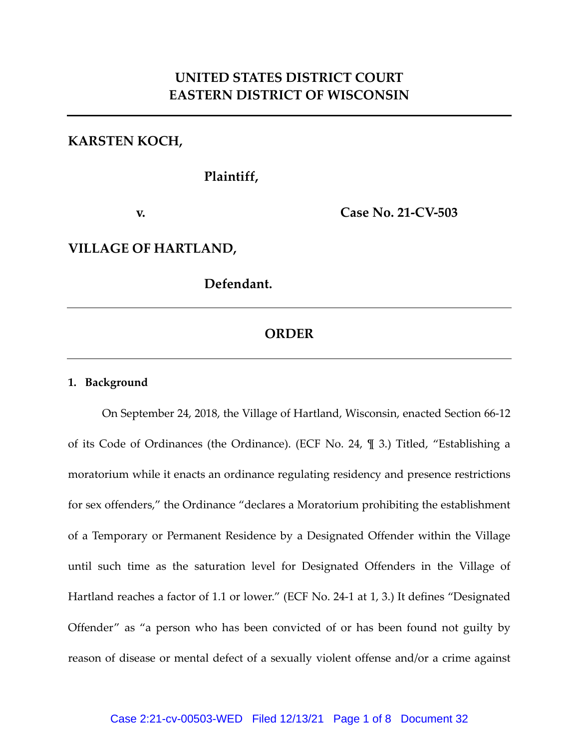# **UNITED STATES DISTRICT COURT EASTERN DISTRICT OF WISCONSIN**

### **KARSTEN KOCH,**

**Plaintiff,**

**v. Case No. 21-CV-503**

### **VILLAGE OF HARTLAND,**

**Defendant.**

## **ORDER**

#### **1. Background**

On September 24, 2018, the Village of Hartland, Wisconsin, enacted Section 66-12 of its Code of Ordinances (the Ordinance). (ECF No. 24, ¶ 3.) Titled, "Establishing a moratorium while it enacts an ordinance regulating residency and presence restrictions for sex offenders," the Ordinance "declares a Moratorium prohibiting the establishment of a Temporary or Permanent Residence by a Designated Offender within the Village until such time as the saturation level for Designated Offenders in the Village of Hartland reaches a factor of 1.1 or lower." (ECF No. 24-1 at 1, 3.) It defines "Designated Offender" as "a person who has been convicted of or has been found not guilty by reason of disease or mental defect of a sexually violent offense and/or a crime against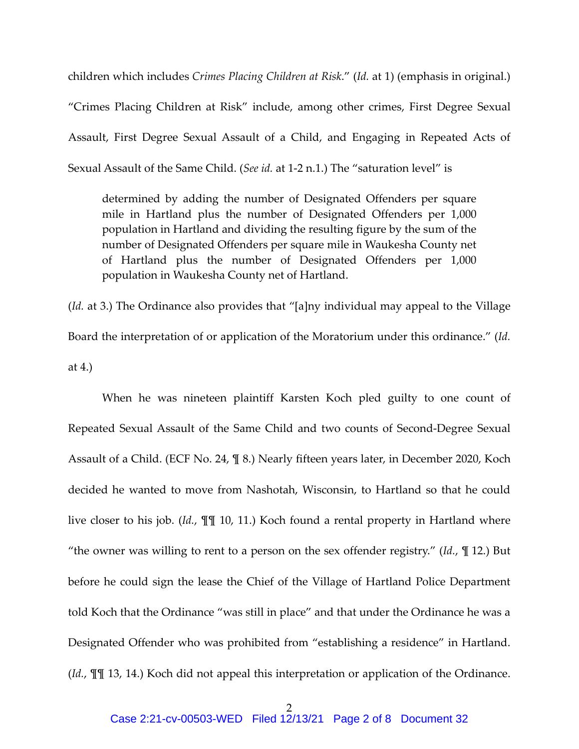children which includes *Crimes Placing Children at Risk*." (*Id.* at 1) (emphasis in original.) "Crimes Placing Children at Risk" include, among other crimes, First Degree Sexual Assault, First Degree Sexual Assault of a Child, and Engaging in Repeated Acts of Sexual Assault of the Same Child. (*See id.* at 1-2 n.1.) The "saturation level" is

determined by adding the number of Designated Offenders per square mile in Hartland plus the number of Designated Offenders per 1,000 population in Hartland and dividing the resulting figure by the sum of the number of Designated Offenders per square mile in Waukesha County net of Hartland plus the number of Designated Offenders per 1,000 population in Waukesha County net of Hartland.

(*Id.* at 3.) The Ordinance also provides that "[a]ny individual may appeal to the Village Board the interpretation of or application of the Moratorium under this ordinance." (*Id.*  at 4.)

When he was nineteen plaintiff Karsten Koch pled guilty to one count of Repeated Sexual Assault of the Same Child and two counts of Second-Degree Sexual Assault of a Child. (ECF No. 24, ¶ 8.) Nearly fifteen years later, in December 2020, Koch decided he wanted to move from Nashotah, Wisconsin, to Hartland so that he could live closer to his job. (*Id.*, ¶¶ 10, 11.) Koch found a rental property in Hartland where "the owner was willing to rent to a person on the sex offender registry." (*Id.*, ¶ 12.) But before he could sign the lease the Chief of the Village of Hartland Police Department told Koch that the Ordinance "was still in place" and that under the Ordinance he was a Designated Offender who was prohibited from "establishing a residence" in Hartland. (*Id.*, ¶¶ 13, 14.) Koch did not appeal this interpretation or application of the Ordinance.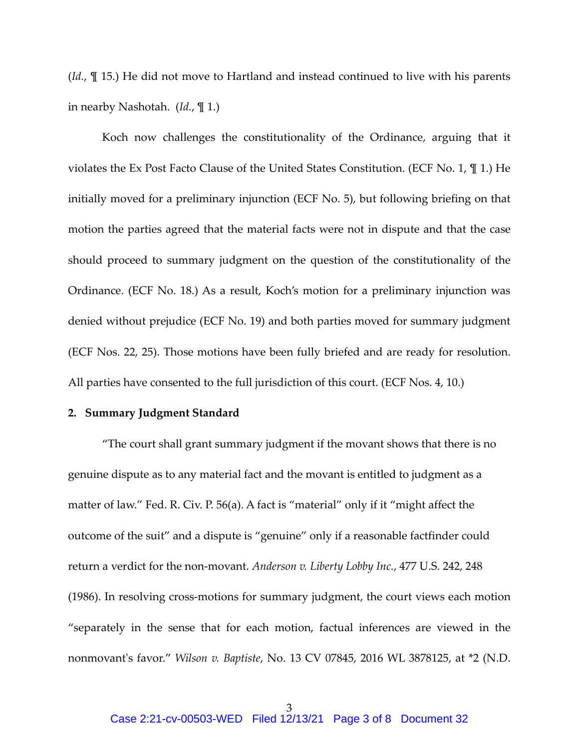(*Id.*, ¶ 15.) He did not move to Hartland and instead continued to live with his parents in nearby Nashotah. (*Id.*, ¶ 1.)

Koch now challenges the constitutionality of the Ordinance, arguing that it violates the Ex Post Facto Clause of the United States Constitution. (ECF No. 1, ¶ 1.) He initially moved for a preliminary injunction (ECF No. 5), but following briefing on that motion the parties agreed that the material facts were not in dispute and that the case should proceed to summary judgment on the question of the constitutionality of the Ordinance. (ECF No. 18.) As a result, Koch's motion for a preliminary injunction was denied without prejudice (ECF No. 19) and both parties moved for summary judgment (ECF Nos. 22, 25). Those motions have been fully briefed and are ready for resolution. All parties have consented to the full jurisdiction of this court. (ECF Nos. 4, 10.)

#### **2. Summary Judgment Standard**

"The court shall grant summary judgment if the movant shows that there is no genuine dispute as to any material fact and the movant is entitled to judgment as a matter of law." Fed. R. Civ. P. 56(a). A fact is "material" only if it "might affect the outcome of the suit" and a dispute is "genuine" only if a reasonable factfinder could return a verdict for the non-movant. *Anderson v. Liberty Lobby Inc.*, 477 U.S. 242, 248 (1986). In resolving cross-motions for summary judgment, the court views each motion "separately in the sense that for each motion, factual inferences are viewed in the nonmovant's favor." *Wilson v. Baptiste*, No. 13 CV 07845, 2016 WL 3878125, at \*2 (N.D.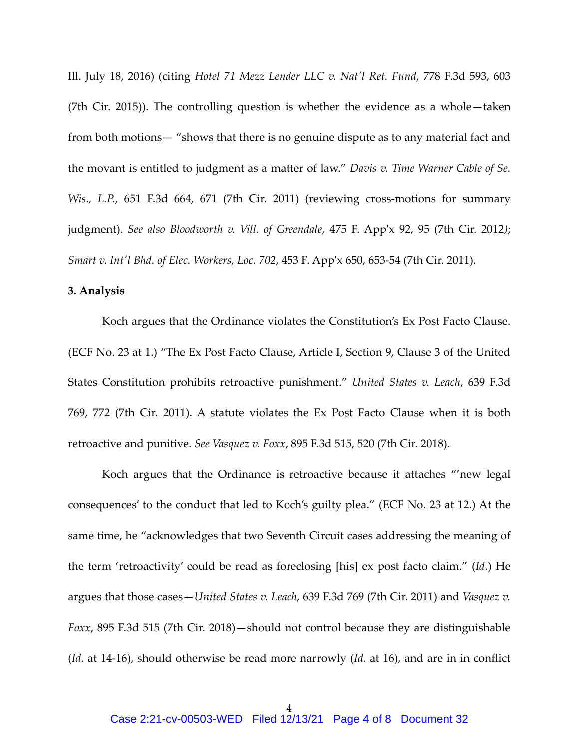Ill. July 18, 2016) (citing *Hotel 71 Mezz Lender LLC v. Nat'l Ret. Fund*, 778 F.3d 593, 603 (7th Cir. 2015)). The controlling question is whether the evidence as a whole—taken from both motions— "shows that there is no genuine dispute as to any material fact and the movant is entitled to judgment as a matter of law." *Davis v. Time Warner Cable of Se. Wis., L.P.*, 651 F.3d 664, 671 (7th Cir. 2011) (reviewing cross-motions for summary judgment). *See also Bloodworth v. Vill. of Greendale*, 475 F. App'x 92, 95 (7th Cir. 2012*)*; *Smart v. Int'l Bhd. of Elec. Workers, Loc. 702*, 453 F. App'x 650, 653-54 (7th Cir. 2011).

### **3. Analysis**

Koch argues that the Ordinance violates the Constitution's Ex Post Facto Clause. (ECF No. 23 at 1.) "The Ex Post Facto Clause, Article I, Section 9, Clause 3 of the United States Constitution prohibits retroactive punishment." *United States v. Leach*, 639 F.3d 769, 772 (7th Cir. 2011). A statute violates the Ex Post Facto Clause when it is both retroactive and punitive. *See Vasquez v. Foxx*, 895 F.3d 515, 520 (7th Cir. 2018).

Koch argues that the Ordinance is retroactive because it attaches "'new legal consequences' to the conduct that led to Koch's guilty plea." (ECF No. 23 at 12.) At the same time, he "acknowledges that two Seventh Circuit cases addressing the meaning of the term 'retroactivity' could be read as foreclosing [his] ex post facto claim." (*Id*.) He argues that those cases—*United States v. Leach*, 639 F.3d 769 (7th Cir. 2011) and *Vasquez v. Foxx*, 895 F.3d 515 (7th Cir. 2018)—should not control because they are distinguishable (*Id.* at 14-16), should otherwise be read more narrowly (*Id.* at 16), and are in in conflict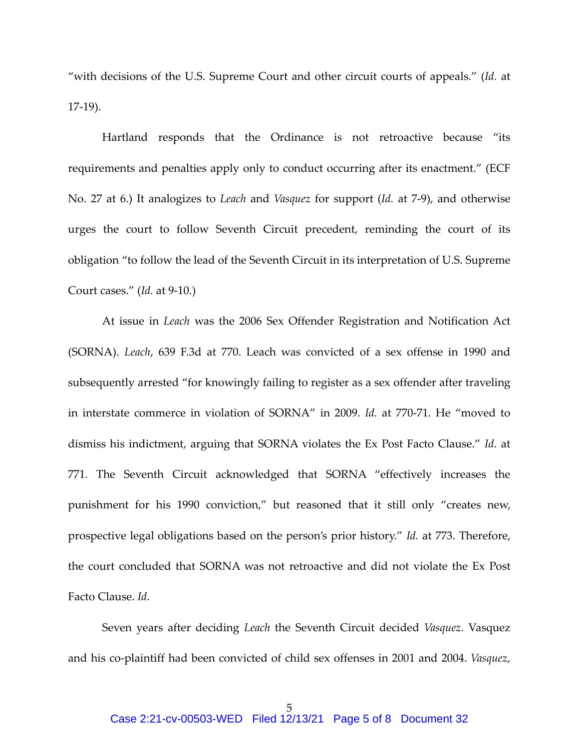"with decisions of the U.S. Supreme Court and other circuit courts of appeals." (*Id.* at 17-19).

Hartland responds that the Ordinance is not retroactive because "its requirements and penalties apply only to conduct occurring after its enactment." (ECF No. 27 at 6.) It analogizes to *Leach* and *Vasquez* for support (*Id.* at 7-9), and otherwise urges the court to follow Seventh Circuit precedent, reminding the court of its obligation "to follow the lead of the Seventh Circuit in its interpretation of U.S. Supreme Court cases." (*Id.* at 9-10.)

At issue in *Leach* was the 2006 Sex Offender Registration and Notification Act (SORNA). *Leach*, 639 F.3d at 770. Leach was convicted of a sex offense in 1990 and subsequently arrested "for knowingly failing to register as a sex offender after traveling in interstate commerce in violation of SORNA" in 2009. *Id.* at 770-71. He "moved to dismiss his indictment, arguing that SORNA violates the Ex Post Facto Clause." *Id.* at 771. The Seventh Circuit acknowledged that SORNA "effectively increases the punishment for his 1990 conviction," but reasoned that it still only "creates new, prospective legal obligations based on the person's prior history." *Id.* at 773. Therefore, the court concluded that SORNA was not retroactive and did not violate the Ex Post Facto Clause. *Id.*

Seven years after deciding *Leach* the Seventh Circuit decided *Vasquez*. Vasquez and his co-plaintiff had been convicted of child sex offenses in 2001 and 2004. *Vasquez*,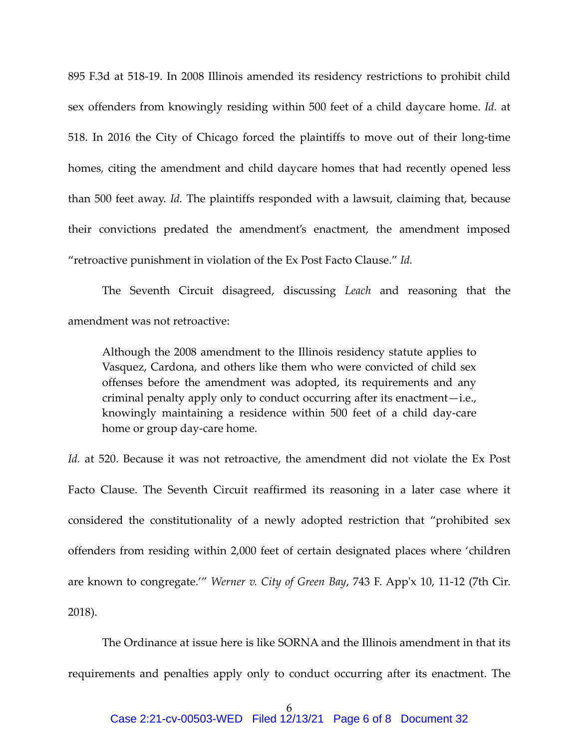895 F.3d at 518-19. In 2008 Illinois amended its residency restrictions to prohibit child sex offenders from knowingly residing within 500 feet of a child daycare home. *Id.* at 518. In 2016 the City of Chicago forced the plaintiffs to move out of their long-time homes, citing the amendment and child daycare homes that had recently opened less than 500 feet away. *Id.* The plaintiffs responded with a lawsuit, claiming that, because their convictions predated the amendment's enactment, the amendment imposed "retroactive punishment in violation of the Ex Post Facto Clause." *Id.*

The Seventh Circuit disagreed, discussing *Leach* and reasoning that the amendment was not retroactive:

Although the 2008 amendment to the Illinois residency statute applies to Vasquez, Cardona, and others like them who were convicted of child sex offenses before the amendment was adopted, its requirements and any criminal penalty apply only to conduct occurring after its enactment—i.e., knowingly maintaining a residence within 500 feet of a child day-care home or group day-care home.

*Id.* at 520. Because it was not retroactive, the amendment did not violate the Ex Post Facto Clause. The Seventh Circuit reaffirmed its reasoning in a later case where it considered the constitutionality of a newly adopted restriction that "prohibited sex offenders from residing within 2,000 feet of certain designated places where 'children are known to congregate.'" *Werner v. City of Green Bay*, 743 F. App'x 10, 11-12 (7th Cir. 2018).

The Ordinance at issue here is like SORNA and the Illinois amendment in that its requirements and penalties apply only to conduct occurring after its enactment. The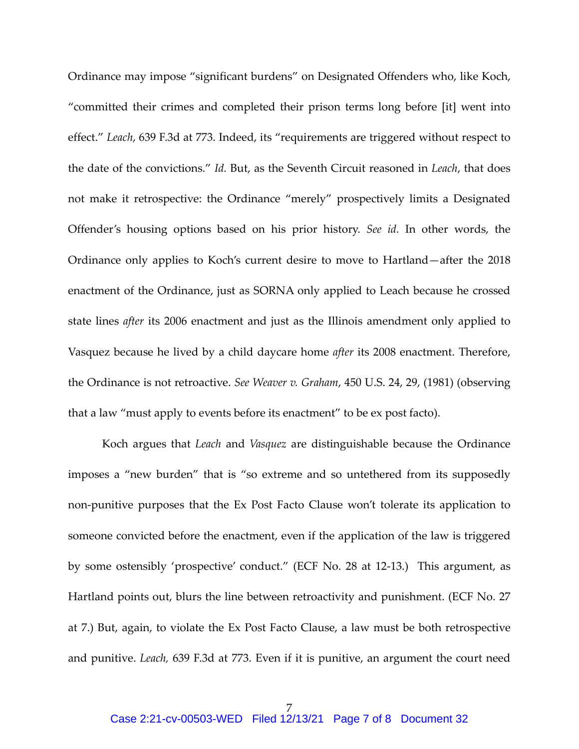Ordinance may impose "significant burdens" on Designated Offenders who, like Koch, "committed their crimes and completed their prison terms long before [it] went into effect." *Leach*, 639 F.3d at 773. Indeed, its "requirements are triggered without respect to the date of the convictions." *Id.* But, as the Seventh Circuit reasoned in *Leach*, that does not make it retrospective: the Ordinance "merely" prospectively limits a Designated Offender's housing options based on his prior history. *See id.* In other words, the Ordinance only applies to Koch's current desire to move to Hartland—after the 2018 enactment of the Ordinance, just as SORNA only applied to Leach because he crossed state lines *after* its 2006 enactment and just as the Illinois amendment only applied to Vasquez because he lived by a child daycare home *after* its 2008 enactment. Therefore, the Ordinance is not retroactive. *See Weaver v. Graham*, 450 U.S. 24, 29, (1981) (observing that a law "must apply to events before its enactment" to be ex post facto).

Koch argues that *Leach* and *Vasquez* are distinguishable because the Ordinance imposes a "new burden" that is "so extreme and so untethered from its supposedly non-punitive purposes that the Ex Post Facto Clause won't tolerate its application to someone convicted before the enactment, even if the application of the law is triggered by some ostensibly 'prospective' conduct." (ECF No. 28 at 12-13.) This argument, as Hartland points out, blurs the line between retroactivity and punishment. (ECF No. 27 at 7.) But, again, to violate the Ex Post Facto Clause, a law must be both retrospective and punitive. *Leach,* 639 F.3d at 773. Even if it is punitive, an argument the court need